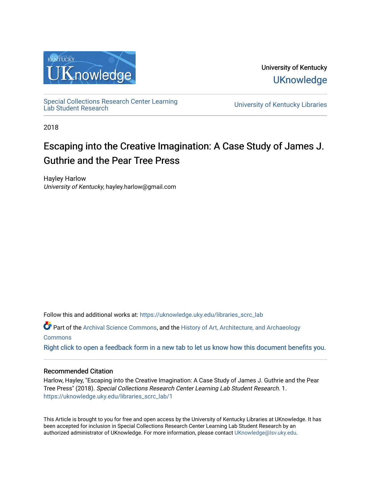

University of Kentucky **UKnowledge** 

[Special Collections Research Center Learning](https://uknowledge.uky.edu/libraries_scrc_lab)<br>Lab Student Research

University of Kentucky Libraries

2018

## Escaping into the Creative Imagination: A Case Study of James J. Guthrie and the Pear Tree Press

Hayley Harlow University of Kentucky, hayley.harlow@gmail.com

Follow this and additional works at: [https://uknowledge.uky.edu/libraries\\_scrc\\_lab](https://uknowledge.uky.edu/libraries_scrc_lab?utm_source=uknowledge.uky.edu%2Flibraries_scrc_lab%2F1&utm_medium=PDF&utm_campaign=PDFCoverPages)

Part of the [Archival Science Commons,](http://network.bepress.com/hgg/discipline/1021?utm_source=uknowledge.uky.edu%2Flibraries_scrc_lab%2F1&utm_medium=PDF&utm_campaign=PDFCoverPages) and the [History of Art, Architecture, and Archaeology](http://network.bepress.com/hgg/discipline/510?utm_source=uknowledge.uky.edu%2Flibraries_scrc_lab%2F1&utm_medium=PDF&utm_campaign=PDFCoverPages)  **[Commons](http://network.bepress.com/hgg/discipline/510?utm_source=uknowledge.uky.edu%2Flibraries_scrc_lab%2F1&utm_medium=PDF&utm_campaign=PDFCoverPages)** 

[Right click to open a feedback form in a new tab to let us know how this document benefits you.](https://uky.az1.qualtrics.com/jfe/form/SV_9mq8fx2GnONRfz7)

## Recommended Citation

Harlow, Hayley, "Escaping into the Creative Imagination: A Case Study of James J. Guthrie and the Pear Tree Press" (2018). Special Collections Research Center Learning Lab Student Research. 1. [https://uknowledge.uky.edu/libraries\\_scrc\\_lab/1](https://uknowledge.uky.edu/libraries_scrc_lab/1?utm_source=uknowledge.uky.edu%2Flibraries_scrc_lab%2F1&utm_medium=PDF&utm_campaign=PDFCoverPages)

This Article is brought to you for free and open access by the University of Kentucky Libraries at UKnowledge. It has been accepted for inclusion in Special Collections Research Center Learning Lab Student Research by an authorized administrator of UKnowledge. For more information, please contact [UKnowledge@lsv.uky.edu](mailto:UKnowledge@lsv.uky.edu).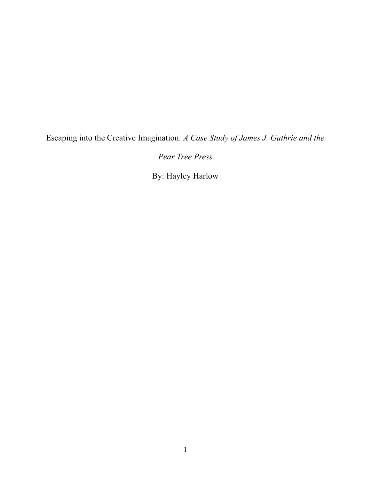Escaping into the Creative Imagination: *A Case Study of James J. Guthrie and the* 

*Pear Tree Press*

By: Hayley Harlow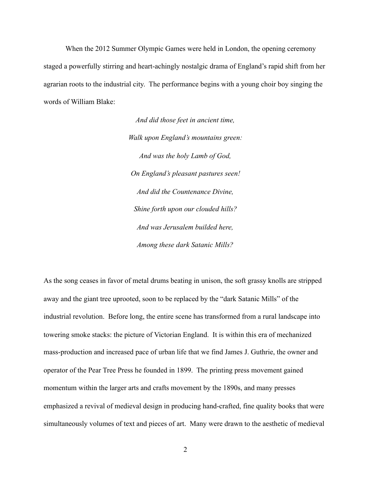When the 2012 Summer Olympic Games were held in London, the opening ceremony staged a powerfully stirring and heart-achingly nostalgic drama of England's rapid shift from her agrarian roots to the industrial city. The performance begins with a young choir boy singing the words of William Blake:

> *And did those feet in ancient time, Walk upon England's mountains green: And was the holy Lamb of God, On England's pleasant pastures seen! And did the Countenance Divine, Shine forth upon our clouded hills? And was Jerusalem builded here, Among these dark Satanic Mills?*

As the song ceases in favor of metal drums beating in unison, the soft grassy knolls are stripped away and the giant tree uprooted, soon to be replaced by the "dark Satanic Mills" of the industrial revolution. Before long, the entire scene has transformed from a rural landscape into towering smoke stacks: the picture of Victorian England. It is within this era of mechanized mass-production and increased pace of urban life that we find James J. Guthrie, the owner and operator of the Pear Tree Press he founded in 1899. The printing press movement gained momentum within the larger arts and crafts movement by the 1890s, and many presses emphasized a revival of medieval design in producing hand-crafted, fine quality books that were simultaneously volumes of text and pieces of art. Many were drawn to the aesthetic of medieval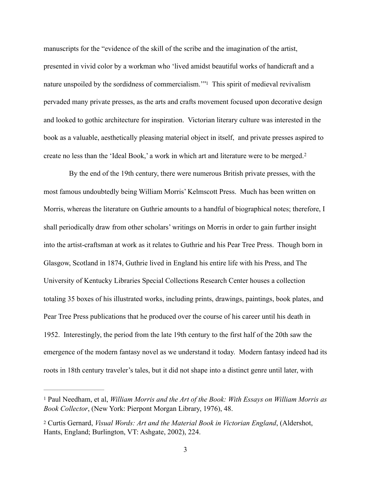<span id="page-3-2"></span>manuscripts for the "evidence of the skill of the scribe and the imagination of the artist, presented in vivid color by a workman who 'lived amidst beautiful works of handicraft and a nature unspoiled by the sordidness of commercialism.["](#page-3-0)<sup>[1](#page-3-0)</sup> This spirit of medieval revivalism pervaded many private presses, as the arts and crafts movement focused upon decorative design and looked to gothic architecture for inspiration. Victorian literary culture was interested in the book as a valuable, aesthetically pleasing material object in itself, and private presses aspired to create no less than the 'Ideal Book,' a work in which art and literature were to be merged.[2](#page-3-1)

<span id="page-3-3"></span> By the end of the 19th century, there were numerous British private presses, with the most famous undoubtedly being William Morris' Kelmscott Press. Much has been written on Morris, whereas the literature on Guthrie amounts to a handful of biographical notes; therefore, I shall periodically draw from other scholars' writings on Morris in order to gain further insight into the artist-craftsman at work as it relates to Guthrie and his Pear Tree Press. Though born in Glasgow, Scotland in 1874, Guthrie lived in England his entire life with his Press, and The University of Kentucky Libraries Special Collections Research Center houses a collection totaling 35 boxes of his illustrated works, including prints, drawings, paintings, book plates, and Pear Tree Press publications that he produced over the course of his career until his death in 1952. Interestingly, the period from the late 19th century to the first half of the 20th saw the emergence of the modern fantasy novel as we understand it today. Modern fantasy indeed had its roots in 18th century traveler's tales, but it did not shape into a distinct genre until later, with

<span id="page-3-0"></span><sup>&</sup>lt;sup>[1](#page-3-2)</sup> Paul Needham, et al, *William Morris and the Art of the Book: With Essays on William Morris as Book Collector*, (New York: Pierpont Morgan Library, 1976), 48.

<span id="page-3-1"></span>[<sup>2</sup>](#page-3-3) Curtis Gernard, *Visual Words: Art and the Material Book in Victorian England*, (Aldershot, Hants, England; Burlington, VT: Ashgate, 2002), 224.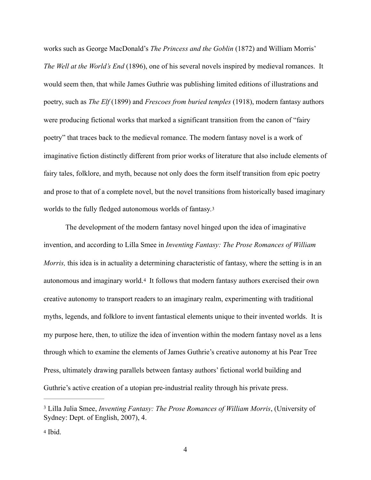works such as George MacDonald's *The Princess and the Goblin* (1872) and William Morris' *The Well at the World's End* (1896), one of his several novels inspired by medieval romances. It would seem then, that while James Guthrie was publishing limited editions of illustrations and poetry, such as *The Elf* (1899) and *Frescoes from buried temples* (1918), modern fantasy authors were producing fictional works that marked a significant transition from the canon of "fairy poetry" that traces back to the medieval romance. The modern fantasy novel is a work of imaginative fiction distinctly different from prior works of literature that also include elements of fairy tales, folklore, and myth, because not only does the form itself transition from epic poetry and prose to that of a complete novel, but the novel transitions from historically based imaginary worlds to the fully fledged autonomous worlds of fantasy.[3](#page-4-0) 

<span id="page-4-3"></span><span id="page-4-2"></span> The development of the modern fantasy novel hinged upon the idea of imaginative invention, and according to Lilla Smee in *Inventing Fantasy: The Prose Romances of William Morris*, this idea is in actuality a determining characteristic of fantasy, where the setting is in an autonomous and imaginary world.[4](#page-4-1) It follows that modern fantasy authors exercised their own creative autonomy to transport readers to an imaginary realm, experimenting with traditional myths, legends, and folklore to invent fantastical elements unique to their invented worlds. It is my purpose here, then, to utilize the idea of invention within the modern fantasy novel as a lens through which to examine the elements of James Guthrie's creative autonomy at his Pear Tree Press, ultimately drawing parallels between fantasy authors' fictional world building and Guthrie's active creation of a utopian pre-industrial reality through his private press.

<span id="page-4-0"></span>Lilla Julia Smee, *Inventing Fantasy: The Prose Romances of William Morris*, (University of [3](#page-4-2) Sydney: Dept. of English, 2007), 4.

<span id="page-4-1"></span>[<sup>4</sup>](#page-4-3) Ibid.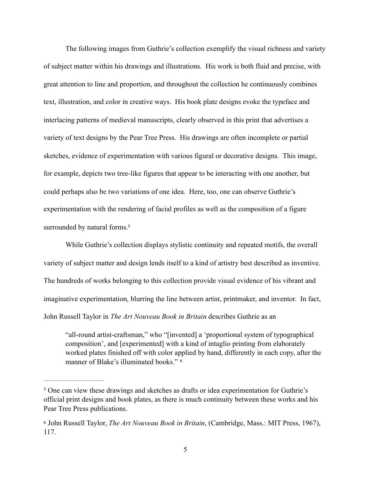The following images from Guthrie's collection exemplify the visual richness and variety of subject matter within his drawings and illustrations. His work is both fluid and precise, with great attention to line and proportion, and throughout the collection he continuously combines text, illustration, and color in creative ways. His book plate designs evoke the typeface and interlacing patterns of medieval manuscripts, clearly observed in this print that advertises a variety of text designs by the Pear Tree Press. His drawings are often incomplete or partial sketches, evidence of experimentation with various figural or decorative designs. This image, for example, depicts two tree-like figures that appear to be interacting with one another, but could perhaps also be two variations of one idea. Here, too, one can observe Guthrie's experimentation with the rendering of facial profiles as well as the composition of a figure surrounded by natural forms[.](#page-5-0)<sup>[5](#page-5-0)</sup>

<span id="page-5-2"></span>While Guthrie's collection displays stylistic continuity and repeated motifs, the overall variety of subject matter and design lends itself to a kind of artistry best described as inventive. The hundreds of works belonging to this collection provide visual evidence of his vibrant and imaginative experimentation, blurring the line between artist, printmaker, and inventor. In fact, John Russell Taylor in *The Art Nouveau Book in Britain* describes Guthrie as an

<span id="page-5-3"></span> "all-round artist-craftsman," who "[invented] a 'proportional system of typographical composition', and [experimented] with a kind of intaglio printing from elaborately worked plates finished off with color applied by hand, differently in each copy, after the manner of Blake's illuminated books." [6](#page-5-1)

<span id="page-5-0"></span><sup>&</sup>lt;sup>[5](#page-5-2)</sup> One can view these drawings and sketches as drafts or idea experimentation for Guthrie's official print designs and book plates, as there is much continuity between these works and his Pear Tree Press publications.

<span id="page-5-1"></span>[<sup>6</sup>](#page-5-3) John Russell Taylor, *The Art Nouveau Book in Britain*, (Cambridge, Mass.: MIT Press, 1967), 117.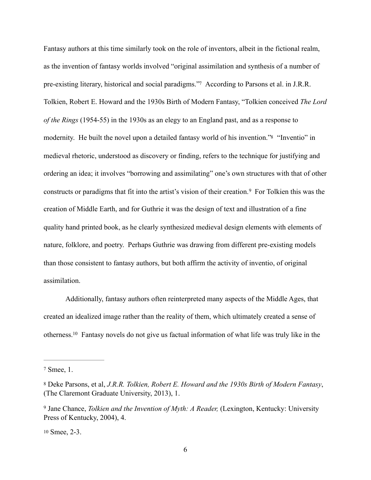<span id="page-6-5"></span><span id="page-6-4"></span>Fantasy authors at this time similarly took on the role of inventors, albeit in the fictional realm, as the invention of fantasy worlds involved "original assimilation and synthesis of a number of pre-existing literary, historical and social paradigms.["](#page-6-0)[7](#page-6-0) According to Parsons et al. in J.R.R. Tolkien, Robert E. Howard and the 1930s Birth of Modern Fantasy, "Tolkien conceived *The Lord of the Rings* (1954-55) in the 1930s as an elegy to an England past, and as a response to modernity. He built the novel upon a detailed fantasy world of his invention.["8](#page-6-1) "Inventio" in medieval rhetoric, understood as discovery or finding, refers to the technique for justifying and ordering an idea; it involves "borrowing and assimilating" one's own structures with that of other constructsor paradigms that fit into the artist's vision of their creation.<sup>[9](#page-6-2)</sup> For Tolkien this was the creation of Middle Earth, and for Guthrie it was the design of text and illustration of a fine quality hand printed book, as he clearly synthesized medieval design elements with elements of nature, folklore, and poetry. Perhaps Guthrie was drawing from different pre-existing models than those consistent to fantasy authors, but both affirm the activity of inventio, of original assimilation.

<span id="page-6-7"></span><span id="page-6-6"></span> Additionally, fantasy authors often reinterpreted many aspects of the Middle Ages, that created an idealized image rather than the reality of them, which ultimately created a sense of otherness[.](#page-6-3)<sup>[10](#page-6-3)</sup> Fantasy novels do not give us factual information of what life was truly like in the

<span id="page-6-0"></span> $7$  Smee, 1.

<span id="page-6-1"></span>[<sup>8</sup>](#page-6-5) Deke Parsons, et al, *J.R.R. Tolkien, Robert E. Howard and the 1930s Birth of Modern Fantasy*, (The Claremont Graduate University, 2013), 1.

<span id="page-6-2"></span><sup>&</sup>lt;sup>[9](#page-6-6)</sup> Jane Chance, *Tolkien and the Invention of Myth: A Reader*, (Lexington, Kentucky: University Press of Kentucky, 2004), 4.

<span id="page-6-3"></span>[<sup>10</sup>](#page-6-7) Smee, 2-3.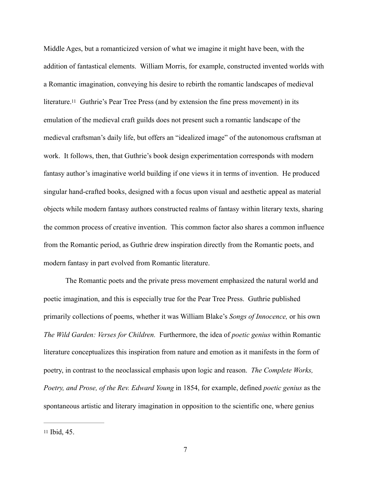<span id="page-7-1"></span>Middle Ages, but a romanticized version of what we imagine it might have been, with the addition of fantastical elements. William Morris, for example, constructed invented worlds with a Romantic imagination, conveying his desire to rebirth the romantic landscapes of medieval literature[.11](#page-7-0) Guthrie's Pear Tree Press (and by extension the fine press movement) in its emulation of the medieval craft guilds does not present such a romantic landscape of the medieval craftsman's daily life, but offers an "idealized image" of the autonomous craftsman at work. It follows, then, that Guthrie's book design experimentation corresponds with modern fantasy author's imaginative world building if one views it in terms of invention. He produced singular hand-crafted books, designed with a focus upon visual and aesthetic appeal as material objects while modern fantasy authors constructed realms of fantasy within literary texts, sharing the common process of creative invention. This common factor also shares a common influence from the Romantic period, as Guthrie drew inspiration directly from the Romantic poets, and modern fantasy in part evolved from Romantic literature.

 The Romantic poets and the private press movement emphasized the natural world and poetic imagination, and this is especially true for the Pear Tree Press. Guthrie published primarily collections of poems, whether it was William Blake's *Songs of Innocence,* or his own *The Wild Garden: Verses for Children.* Furthermore, the idea of *poetic genius* within Romantic literature conceptualizes this inspiration from nature and emotion as it manifests in the form of poetry, in contrast to the neoclassical emphasis upon logic and reason. *The Complete Works, Poetry, and Prose, of the Rev. Edward Young* in 1854, for example, defined *poetic genius* as the spontaneous artistic and literary imagination in opposition to the scientific one, where genius

<span id="page-7-0"></span>[<sup>11</sup>](#page-7-1) Ibid, 45.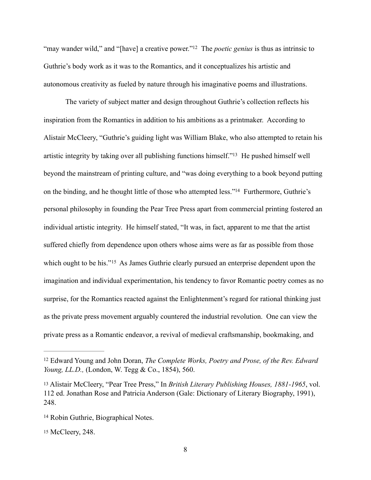<span id="page-8-4"></span>["](#page-8-0)may wander wild," and "[have] a creative power."<sup>12</sup> The *poetic genius* is thus as intrinsic to Guthrie's body work as it was to the Romantics, and it conceptualizes his artistic and autonomous creativity as fueled by nature through his imaginative poems and illustrations.

<span id="page-8-6"></span><span id="page-8-5"></span> The variety of subject matter and design throughout Guthrie's collection reflects his inspiration from the Romantics in addition to his ambitions as a printmaker. According to Alistair McCleery, "Guthrie's guiding light was William Blake, who also attempted to retain his artistic integrity by taking over all publishing functions himself.["](#page-8-1)<sup>[13](#page-8-1)</sup> He pushed himself well beyond the mainstream of printing culture, and "was doing everything to a book beyond putting on the binding, and he thought little of those who attempted less.["](#page-8-2)<sup>[14](#page-8-2)</sup> Furthermore, Guthrie's personal philosophy in founding the Pear Tree Press apart from commercial printing fostered an individual artistic integrity. He himself stated, "It was, in fact, apparent to me that the artist suffered chiefly from dependence upon others whose aims were as far as possible from those whichought to be his."<sup>[15](#page-8-3)</sup> As James Guthrie clearly pursued an enterprise dependent upon the imagination and individual experimentation, his tendency to favor Romantic poetry comes as no surprise, for the Romantics reacted against the Enlightenment's regard for rational thinking just as the private press movement arguably countered the industrial revolution. One can view the private press as a Romantic endeavor, a revival of medieval craftsmanship, bookmaking, and

<span id="page-8-7"></span><span id="page-8-0"></span><sup>&</sup>lt;sup>[12](#page-8-4)</sup> Edward Young and John Doran, *The Complete Works, Poetry and Prose, of the Rev. Edward Young, LL.D.,* (London, W. Tegg & Co., 1854), 560.

<span id="page-8-1"></span>[<sup>13</sup>](#page-8-5) Alistair McCleery, "Pear Tree Press," In *British Literary Publishing Houses, 1881-1965*, vol. 112 ed. Jonathan Rose and Patricia Anderson (Gale: Dictionary of Literary Biography, 1991), 248.

<span id="page-8-2"></span><sup>&</sup>lt;sup>[14](#page-8-6)</sup> Robin Guthrie, Biographical Notes.

<span id="page-8-3"></span>[<sup>15</sup>](#page-8-7) McCleery, 248.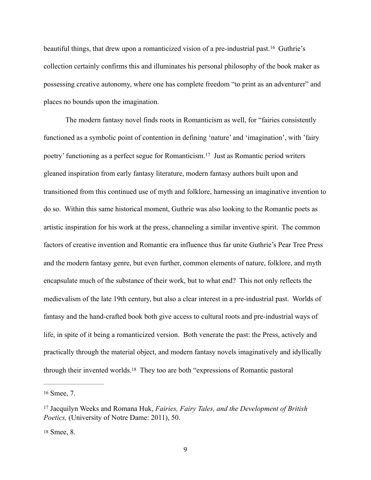<span id="page-9-3"></span>beautifulthings, that drew upon a romanticized vision of a pre-industrial past.<sup>[16](#page-9-0)</sup> Guthrie's collection certainly confirms this and illuminates his personal philosophy of the book maker as possessing creative autonomy, where one has complete freedom "to print as an adventurer" and places no bounds upon the imagination.

<span id="page-9-4"></span> The modern fantasy novel finds roots in Romanticism as well, for "fairies consistently functioned as a symbolic point of contention in defining 'nature' and 'imagination', with 'fairy poetry' functioning as a perfect segue for Romanticism[.](#page-9-1)<sup>[17](#page-9-1)</sup> Just as Romantic period writers gleaned inspiration from early fantasy literature, modern fantasy authors built upon and transitioned from this continued use of myth and folklore, harnessing an imaginative invention to do so. Within this same historical moment, Guthrie was also looking to the Romantic poets as artistic inspiration for his work at the press, channeling a similar inventive spirit. The common factors of creative invention and Romantic era influence thus far unite Guthrie's Pear Tree Press and the modern fantasy genre, but even further, common elements of nature, folklore, and myth encapsulate much of the substance of their work, but to what end? This not only reflects the medievalism of the late 19th century, but also a clear interest in a pre-industrial past. Worlds of fantasy and the hand-crafted book both give access to cultural roots and pre-industrial ways of life, in spite of it being a romanticized version. Both venerate the past: the Press, actively and practically through the material object, and modern fantasy novels imaginatively and idyllically through their invented worlds[.](#page-9-2)<sup>[18](#page-9-2)</sup> They too are both "expressions of Romantic pastoral

<span id="page-9-2"></span>[18](#page-9-5) Smee, 8.

<span id="page-9-5"></span><span id="page-9-0"></span>[<sup>16</sup>](#page-9-3) Smee, 7.

<span id="page-9-1"></span><sup>&</sup>lt;sup>[17](#page-9-4)</sup> Jacquilyn Weeks and Romana Huk, *Fairies, Fairy Tales, and the Development of British Poetics,* (University of Notre Dame: 2011), 50.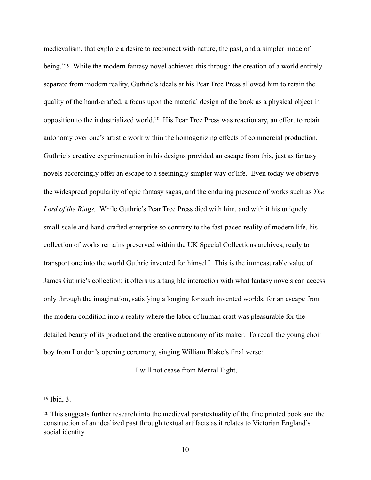<span id="page-10-3"></span><span id="page-10-2"></span>medievalism, that explore a desire to reconnect with nature, the past, and a simpler mode of being."<sup>19</sup> While the modern fantasy novel achieved this through the creation of a world entirely separate from modern reality, Guthrie's ideals at his Pear Tree Press allowed him to retain the quality of the hand-crafted, a focus upon the material design of the book as a physical object in oppositionto the industrialized world.<sup>[20](#page-10-1)</sup> His Pear Tree Press was reactionary, an effort to retain autonomy over one's artistic work within the homogenizing effects of commercial production. Guthrie's creative experimentation in his designs provided an escape from this, just as fantasy novels accordingly offer an escape to a seemingly simpler way of life. Even today we observe the widespread popularity of epic fantasy sagas, and the enduring presence of works such as *The Lord of the Rings.* While Guthrie's Pear Tree Press died with him, and with it his uniquely small-scale and hand-crafted enterprise so contrary to the fast-paced reality of modern life, his collection of works remains preserved within the UK Special Collections archives, ready to transport one into the world Guthrie invented for himself. This is the immeasurable value of James Guthrie's collection: it offers us a tangible interaction with what fantasy novels can access only through the imagination, satisfying a longing for such invented worlds, for an escape from the modern condition into a reality where the labor of human craft was pleasurable for the detailed beauty of its product and the creative autonomy of its maker. To recall the young choir boy from London's opening ceremony, singing William Blake's final verse:

I will not cease from Mental Fight,

<span id="page-10-0"></span> $19$  Ibid, 3.

<span id="page-10-1"></span>[<sup>20</sup>](#page-10-3) This suggests further research into the medieval paratextuality of the fine printed book and the construction of an idealized past through textual artifacts as it relates to Victorian England's social identity.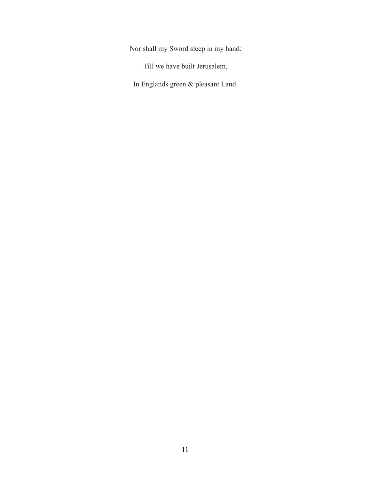Nor shall my Sword sleep in my hand:

Till we have built Jerusalem,

In Englands green & pleasant Land.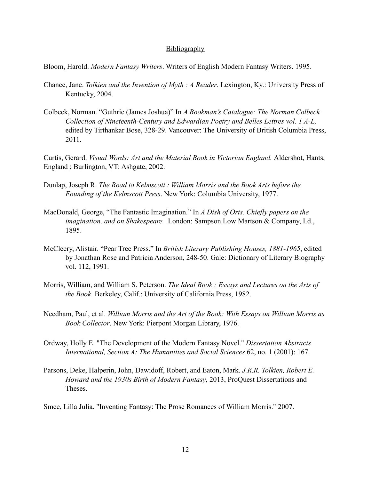## **Bibliography**

Bloom, Harold. *Modern Fantasy Writers*. Writers of English Modern Fantasy Writers. 1995.

- Chance, Jane. *Tolkien and the Invention of Myth : A Reader*. Lexington, Ky.: University Press of Kentucky, 2004.
- Colbeck, Norman. "Guthrie (James Joshua)" In *A Bookman's Catalogue: The Norman Colbeck Collection of Nineteenth-Century and Edwardian Poetry and Belles Lettres vol. 1 A-L,*  edited by Tirthankar Bose, 328-29. Vancouver: The University of British Columbia Press, 2011.

Curtis, Gerard. *Visual Words: Art and the Material Book in Victorian England.* Aldershot, Hants, England ; Burlington, VT: Ashgate, 2002.

- Dunlap, Joseph R. *The Road to Kelmscott : William Morris and the Book Arts before the Founding of the Kelmscott Press*. New York: Columbia University, 1977.
- MacDonald, George, "The Fantastic Imagination." In *A Dish of Orts. Chiefly papers on the imagination, and on Shakespeare.* London: Sampson Low Martson & Company, Ld., 1895.
- McCleery, Alistair. "Pear Tree Press." In *British Literary Publishing Houses, 1881-1965*, edited by Jonathan Rose and Patricia Anderson, 248-50. Gale: Dictionary of Literary Biography vol. 112, 1991.
- Morris, William, and William S. Peterson. *The Ideal Book : Essays and Lectures on the Arts of the Book*. Berkeley, Calif.: University of California Press, 1982.
- Needham, Paul, et al. *William Morris and the Art of the Book: With Essays on William Morris as Book Collector*. New York: Pierpont Morgan Library, 1976.
- Ordway, Holly E. "The Development of the Modern Fantasy Novel." *Dissertation Abstracts International, Section A: The Humanities and Social Sciences* 62, no. 1 (2001): 167.
- Parsons, Deke, Halperin, John, Dawidoff, Robert, and Eaton, Mark. *J.R.R. Tolkien, Robert E. Howard and the 1930s Birth of Modern Fantasy*, 2013, ProQuest Dissertations and Theses.

Smee, Lilla Julia. "Inventing Fantasy: The Prose Romances of William Morris." 2007.